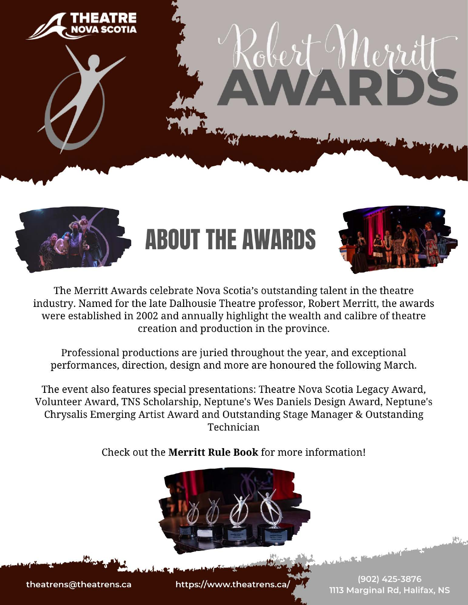

# Robert Nerrit



# **ABOUT THE AWARDS**







The Merritt Awards celebrate Nova Scotia's outstanding talent in the theatre industry. Named for the late Dalhousie Theatre professor, Robert Merritt, the awards were established in 2002 and annually highlight the wealth and calibre of theatre creation and production in the province.

Professional productions are juried throughout the year, and exceptional performances, direction, design and more are honoured the following March.

The event also features special presentations: Theatre Nova Scotia Legacy Award, Volunteer Award, TNS Scholarship, Neptune's Wes Daniels Design Award, Neptune's Chrysalis Emerging Artist Award and Outstanding Stage Manager & Outstanding Technician

Check out the **Merritt Rule Book** for more information!